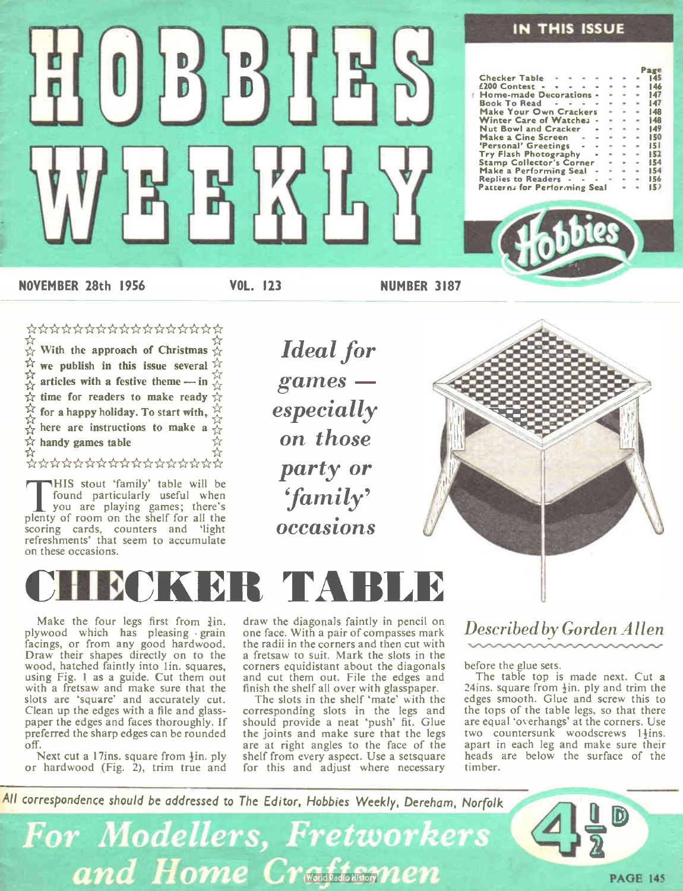

IN THIS ISSUE

NOVEMBER 28th 1956 VOL. 123 NUMBER 3187

 $\begin{bmatrix} 0 \\ 0 \end{bmatrix} \begin{bmatrix} 0 \\ 0 \end{bmatrix} \begin{bmatrix} 0 \\ 0 \end{bmatrix} \begin{bmatrix} 0 \\ 0 \end{bmatrix} \begin{bmatrix} 0 \\ 0 \end{bmatrix}$ 

뭐ゖ゚

#### \*\*\*\*\*\*\*\*\*\*\*\*\*\*\*\*\*

With the approach of Christmas  $\chi$ we publish in this issue several articles with a festive theme — in  $\ddot{\leftrightarrow}$ the for readers to make ready  $\mathcal{H}$ for a happy holiday. To start with,  $\frac{11}{26}$ here are instructions to make a  $\frac{1}{2}$ 

 $\frac{1}{\alpha}$ 

This stout Tamily table will be<br>found particularly useful when<br>plenty of room on the shelf for all the HIS stout 'family' table will be found particularly useful when scoring cards, counters and 'light refreshments' that seem to accumulate on these occasions.

Ideal for games especially on those party or 'family' occasions



## CHECKER TABLE

Make the four legs first from  $\frac{3}{4}$ in. plywood which has pleasing • grain facings, or from any good hardwood. Draw their shapes directly on to the wood, hatched faintly into 1in. squares, using Fig. 1 as a guide. Cut them out with a fretsaw and make sure that the slots are 'square' and accurately cut. Clean up the edges with a file and glasspaper the edges and faces thoroughly. If preferred the sharp edges can be rounded off.

Next cut a 17ins. square from  $\frac{1}{2}$ in. ply or hardwood (Fig. 2), trim true and draw the diagonals faintly in pencil on one face. With a pair of compasses mark the radii in the corners and then cut with a fretsaw to suit. Mark the slots in the corners equidistant about the diagonals and cut them out. File the edges and finish the shelf all over with glasspaper.

The slots in the shelf 'mate' with the corresponding slots in the legs and should provide a neat 'push' fit. Glue the joints and make sure that the legs are at right angles to the face of the shelf from every aspect. Use a setsquare for this and adjust where necessary

### Described by Gorden Allen

before the glue sets.

The table top is made next. Cut a 24ins. square from  $\frac{1}{2}$ in, ply and trim the edges smooth. Glue and screw this to the tops of the table legs, so that there are equal 'overhangs' at the corners. Use two countersunk woodscrews 1<sup>1</sup>ins. apart in each leg and make sure their heads are below the surface of the timber.

PAGE 145

All correspondence should be addressed to The Editor, Hobbies Weekly, Derehom, Norfolk

For Modellers, Fretworkers and Home Craftsmen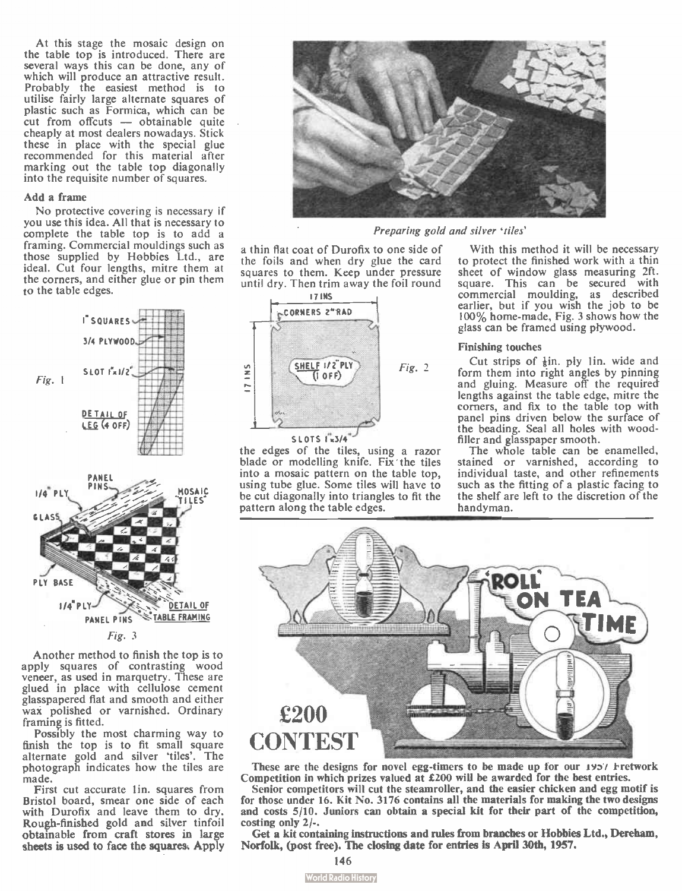At this stage the mosaic design on the table top is introduced. There are several ways this can be done, any of which will produce an attractive result. Probably the easiest method is to utilise fairly large alternate squares of plastic such as Formica, which can be cut from offcuts — obtainable quite cheaply at most dealers nowadays. Stick these in place with the special glue recommended for this material after marking out the table top diagonally into the requisite number of squares.

#### Add a frame

No protective covering is necessary if you use this idea. All that is necessary to complete the table top is to add a framing. Commercial mouldings such as those supplied by Hobbies Ltd., are ideal. Cut four lengths, mitre them at the corners, and either glue or pin them to the table edges.



Fig. 3

Another method to finish the top is to apply squares of contrasting wood veneer, as used in marquetry. These are glued in place with cellulose cement glasspapered flat and smooth and either wax polished or varnished. Ordinary framing is fitted.

Possibly the most charming way to finish the top is to fit small square alternate gold and silver 'tiles'. The photograph indicates how the tiles are made.

First cut accurate lin, squares from Bristol board, smear one side of each with Durofix and leave them to dry. Rough-finished gold and silver tinfoil obtamable from craft stores in large sheets is used to face the squares. Apply



Preparing gold and silver 'tiles'

a thin fiat coat of Durofix to one side of the foils and when dry glue the card squares to them. Keep under pressure until dry. Then trim away the foil round



the edges of the tiles, using a razor blade or modelling knife. Fix the tiles into a mosaic pattern on the table top, using tube glue. Some tiles will have to be cut diagonally into triangles to fit the pattern along the table edges.

With this method it will be necessary to protect the finished work with a thin sheet of window glass measuring 2ft. square. This can be secured with commercial moulding, as described earlier, but if you wish the job to be 100% home-made, Fig. 3 shows how the glass can be framed using plywood.

#### Finishing touches

Cut strips of  $\frac{1}{2}$ in. ply 1 in. wide and form them into right angles by pinning and gluing. Measure off the required lengths against the table edge, mitre the corners, and fix to the table top with panel pins driven below the surface of the beading. Seal all holes with woodfiller and glasspaper smooth.

The whole table can be enamelled, stained or varnished, according to individual taste, and other refinements such as the fitting of a plastic facing to the shelf are left to the discretion of the handyman.



These are the designs for novel egg-timers to be made up for our  $195'$  *Fretwork* Competition in which prizes valued at £200 will be awarded for the best entries.

Senior competitors will cut the steamroller, and the easier chicken and egg motif is for those under 16. Kit No. 3176 contains all the materials for making the two designs and costs 5/10. Juniors can obtain a special kit for their part of the competition, costing only 2/-.

Get a kit containing instructions and rules from branches or Hobbies Ltd., Dereham, Norfolk, (post free). The closing date for entries is April 301h, 1957.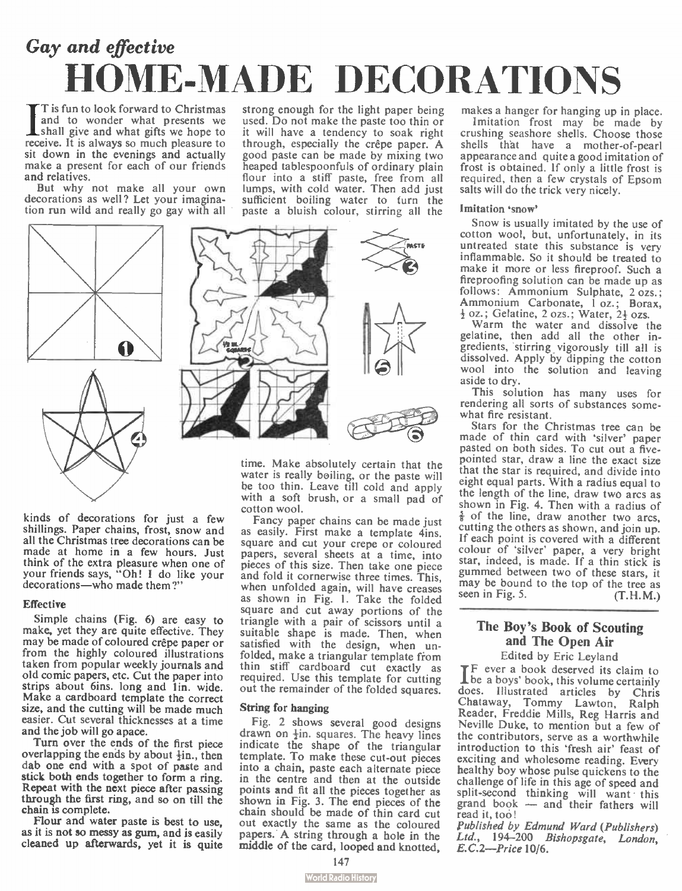## Gay and effective HOME-MADE DECORATIONS

strong enough for the light paper being used. Do not make the paste too thin or it will have a tendency to soak right through, especially the crêpe paper. A good paste can be made by mixing two heaped tablespoonfuls of ordinary plain flour into a stiff paste, free from all lumps, with cold water. Then add just sufficient boiling water to turn the

I is fun to look forward to Christmas<br>and to wonder what presents we<br>shall give and what gifts we hope to<br>calculate the same what gifts we hope to T is fun to look forward to Christmas and to wonder what presents we receive. It is always so much pleasure to sit down in the evenings and actually make a present for each of our friends and relatives.

But why not make all your own decorations as well? Let your imagination run wild and really go gay with all





time. Make absolutely certain that the water is really boiling, or the paste will be too thin. Leave till cold and apply with a soft brush, or a small pad of cotton wool.

Fancy paper chains can be made just as easily. First make a template 4ins. square and cut your crepe or coloured papers, several sheets at a time, into pieces of this size. Then take one piece and fold it comerwise three times. This, when unfolded again, will have creases as shown in Fig. I. Take the folded square and cut away portions of the triangle with a pair of scissors until a suitable shape is made. Then, when satisfied with the design, when unfolded, make a triangular template from thin stiff cardboard cut exactly as required. Use this template for cutting out the remainder of the folded squares.

#### String for hanging

Fig. 2 shows several good designs drawn on  $\frac{1}{2}$ in. squares. The heavy lines indicate the shape of the triangular template. To make these cut-out pieces into a chain, paste each alternate piece in the centre and then at the outside points and fit all the pieces together as shown in Fig. 3. The end pieces of the chain should be made of thin card cut out exactly the same as the coloured papers.. A string through a hole in the middle of the card, looped and knotted,

makes a hanger for hanging up in place. Imitation frost may be made by crushing seashore shells. Choose those shells that have a mother-of-pearl appearance and quite a good imitation of frost is obtained. If only a little frost is required, then a few crystals of Epsom salts will do the trick very nicely.

#### Imitation 'snow'

Snow is usually imitated by the use of cotton wool, but, unfortunately, in its untreated state this substance is very inflammable. So it should be treated to make it more or less fireproof. Such a fireproofing solution can be made up as follows: Ammonium Sulphate, 2 ozs.; Ammonium Carbonate, 1 oz.; Borax, + oz.; Gelatine, 2 ozs.; Water, 21 ozs.

Warm the water and dissolve the gelatine, then add all the other ingredients, stirring vigorously till all is dissolved. Apply by dipping the cotton wool into the solution and leaving aside to dry.

This solution has many uses for rendering all sorts of substances somewhat fire resistant.

Stars for the Christmas tree can be made of thin card with 'silver' paper pasted on both sides. To cut out a fivepointed star, draw a line the exact size that the star is required, and divide into eight equal parts. With a radius equal to the length of the line, draw two arcs as shown in Fig. 4. Then with a radius of  $\frac{5}{8}$  of the line, draw another two arcs, cutting the others as shown, and join up. If each point is covered with a different colour of 'silver' paper, a very bright star, indeed, is made. If a thin stick is gummed between two of these stars, it may be bound to the top of the tree as<br>seen in Fig. 5. (T.H.M.)

### The Boy's Book of Scouting and The Open Air

Edited by Eric Leyland IF ever a book deserved its claim t<sup>o</sup> be a boys' book, this volume certainly does. Illustrated articles by Chris Chataway, Tommy Lawton, Ralph Reader, Freddie Mills, Reg Harris and Neville Duke, to mention but a few of the contributors, serve as a worthwhile introduction to this 'fresh air' feast of exciting and wholesome reading. Every healthy boy whose pulse quickens to the challenge of life in this age of speed and split-second thinking will want this grand book — and their fathers will read it, too!

Published by Edmund Ward (Publishers) Ltd., 194-200 Bishopsgate, London, E.C.2—Price 10/6.

kinds of decorations for just a few shillings. Paper chains, frost, snow and all the Christmas tree decorations can be made at home in a few hours. Just think of the extra pleasure when one of your friends says, " Oh! I do like your decorations—who made them ?"

#### **Effective**

Simple chains (Fig. 6) are easy to make, yet they are quite effective. They may be made of coloured crêpe paper or from the highly coloured illustrations taken from popular weekly journals and old comic papers, etc. Cut the paper into strips about 6ins. long and lin. wide. Make a cardboard template the correct size, and the cutting will be made much easier. Cut several thicknesses at a time and the job will go apace.

Turn over the ends of the first piece overlapping the ends by about  $\frac{1}{2}$ in., then dab one end with a spot of paste and stick both ends together to form a ring. Repeat with the next piece after passing through the first ring, and so on till the chain is complete.

Flour and water paste is best to use, as it is not so messy as gum, and is easily cleaned up afterwards, yet it is quite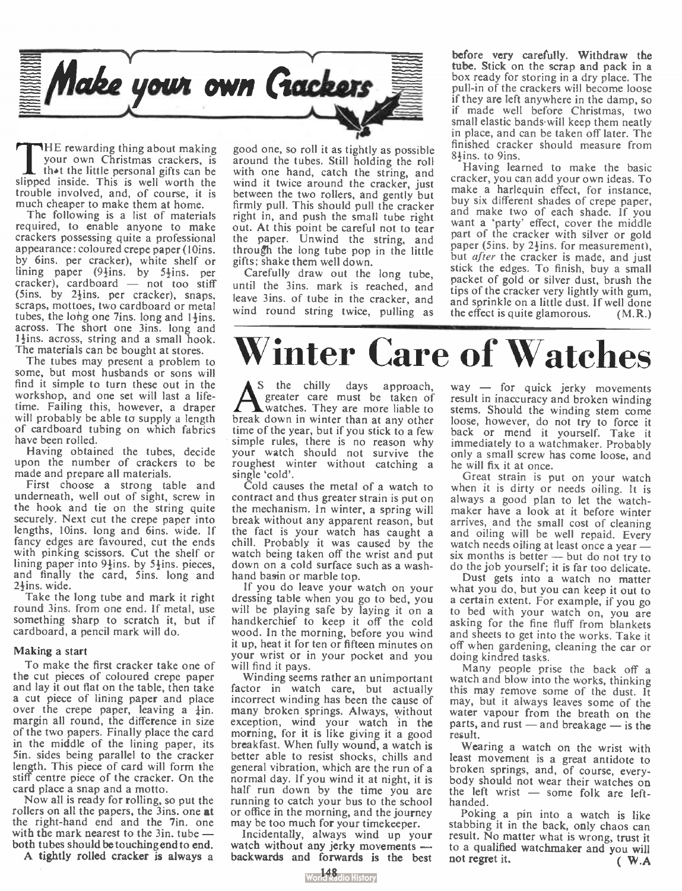

THE rewarding thing about making<br>your own Christmas crackers, is<br>that the little personal gifts can be HE rewarding thing about making your own Christmas crackers, is slipped inside. This is well worth the trouble involved, and, of course, it is much cheaper to make them at home.

The following is a list of materials required, to enable anyone to make crackers possessing quite a professional appearance: coloured crepe paper ( 10ins. by 6ins. per cracker), white shelf or lining paper  $(9\frac{1}{2}$ ins. by 5 $\frac{1}{2}$ ins. per cracker), cardboard — not too stiff (5ins. by  $2\frac{1}{2}$ ins. per cracker), snaps, scraps, mottoes, two cardboard or metal tubes, the long one 7ins. long and  $1\frac{1}{2}$ ins. across. The short one 3ins. long and  $1\frac{1}{2}$ ins. across, string and a small hook. The materials can be bought at stores.

The tubes may present a problem to some, but most husbands or sons will find it simple to turn these out in the workshop, and one set will last a lifetime. Failing this, however, a draper will probably be able to supply a length of cardboard tubing on which fabrics have been rolled.

Having obtained the tubes, decide upon the number of crackers to be made and prepare all materials.

First choose a strong table and underneath, well out of sight, screw in the hook and tie on the string quite securely. Next cut the crepe paper into lengths, 10ins, long and 6ins. wide. If fancy edges are favoured, cut the ends with pinking scissors. Cut the shelf or lining paper into  $9\frac{1}{2}$ ins. by  $5\frac{1}{2}$ ins. pieces, and finally the card, Sins. long and  $2\frac{1}{2}$ ins. wide.

Take the long tube and mark it right round 3ins. from one end. If metal, use something sharp to scratch it, but if cardboard, a pencil mark will do.

#### Making a start

To make the first cracker take one of the cut pieces of coloured crepe paper and lay it out fiat on the table, then take a cut piece of lining paper and place over the crepe paper, leaving a  $\pm$ in. margin all round, the difference in size of the two papers. Finally place the card in the middle of the lining paper, its 5in. sides being parallel to the cracker length. This piece of card will form the stiff centre piece of the cracker. On the card place a snap and a motto.

Now all is ready for rolling, so put the rollers on all the papers, the 3ins. one at the right-hand end and the 7in, one with the mark nearest to the 3in. tube both tubes should be touching end to end.

A tightly rolled cracker is always a

good one, so roll it as tightly as possible around the tubes. Still holding the roll with one hand, catch the string, and wind it twice around the cracker, just between the two rollers, and gently but firmly pull. This should pull the cracker right in, and push the small tube right out. At this point be careful not to tear the paper. Unwind the string, and through the long tube pop in the little gifts; shake them well down.

Carefully draw out the long tube, until the 3ins. mark is reached, and leave 3ins. of tube in the cracker, and wind round string twice, pulling as before very carefully. Withdraw the tube. Stick on the scrap and pack in a box ready for storing in a dry place. The pull-in of the crackers will become loose if they are left anywhere in the damp, so if made well before Christmas, two small elastic bands will keep them neatly in place, and can be taken off later. The finished cracker should measure from 8<sup>+</sup>ins. to 9ins.

Having learned to make the basic cracker, you can add your own ideas. To make a harlequin effect, for instance, buy six different shades of crepe paper, and make two of each shade. If you want a 'party' effect, cover the middle part of the cracker with silver or gold paper (5ins. by  $2\frac{1}{2}$ ins. for measurement), but after the cracker is made, and just stick the edges. To finish, buy a small packet of gold or silver dust, brush the tips of the cracker very lightly with gum, and sprinkle on a little dust. If well done the effect is quite glamorous.  $(M, R)$ 

## Winter Care of Watches

 $\sum_{\text{greater}}^{\text{S the chirality days approach,}}$ S the chilly days approach, greater care must be taken of break down in winter than at any other time of the year, but if you stick to a few simple rules, there is no reason why your watch should not survive the roughest winter without catching a single 'cold'.

Cold causes the metal of a watch to contract and thus greater strain is put on the mechanism. In winter, a spring will break without any apparent reason, but the fact is your watch has caught a chill. Probably it was caused by the watch being taken off the wrist and put down on a cold surface such as a washhand basin or marble top.

If you do leave your watch on your dressing table when you go to bed, you will be playing safe by laying it on a handkerchief to keep it off the cold wood. In the morning, before you wind it up, heat it for ten or fifteen minutes on your wrist or in your pocket and you will find it pays.

Winding seems rather an unimportant factor in watch care, but actually incorrect winding has been the cause of many broken springs. Always, without exception, wind your watch in the morning, for it is like giving it a good breakfast. When fully wound, a watch is better able to resist shocks, chills and general vibration, which are the run of a normal day. If you wind it at night, it is half run down by the time you are running to catch your bus to the school or office in the morning, and the journey may be too much for your timekeeper.

Incidentally, always wind up your watch without any jerky movements backwards and forwards is the best way — for quick jerky movements result in inaccuracy and broken winding stems. Should the winding stem come loose, however, do not try to force it back or mend it yourself. Take it immediately to a watchmaker. Probably only a small screw has come loose, and he will fix it at once.

Great strain is put on your watch when it is dirty or needs oiling. It is always a good plan to let the watchmaker have a look at it before winter arrives, and the small cost of cleaning and oiling will be well repaid. Every watch needs oiling at least once a year six months is better — but do not try to do the job yourself; it is far too delicate.

Dust gets into a watch no matter what you do, but you can keep it out to a certain extent. For example, if you go to bed with your watch on, you are asking for the fine fluff from blankets and sheets to get into the works. Take it off when gardening, cleaning the car or doing kindred tasks.

Many people prise the back off a watch and blow into the works, thinking this may remove some of the dust. It may, but it always leaves some of the water vapour from the breath on the parts, and rust — and breakage — is the result.

Wearing a watch on the wrist with least movement is a great antidote to broken springs, and, of course, everybody should not wear their watches on the left wrist — some folk are lefthanded.

Poking a pin into a watch is like stabbing it in the back, only chaos can result. No matter what is wrong, trust it to a qualified watchmaker and you will not regret it. ( W.A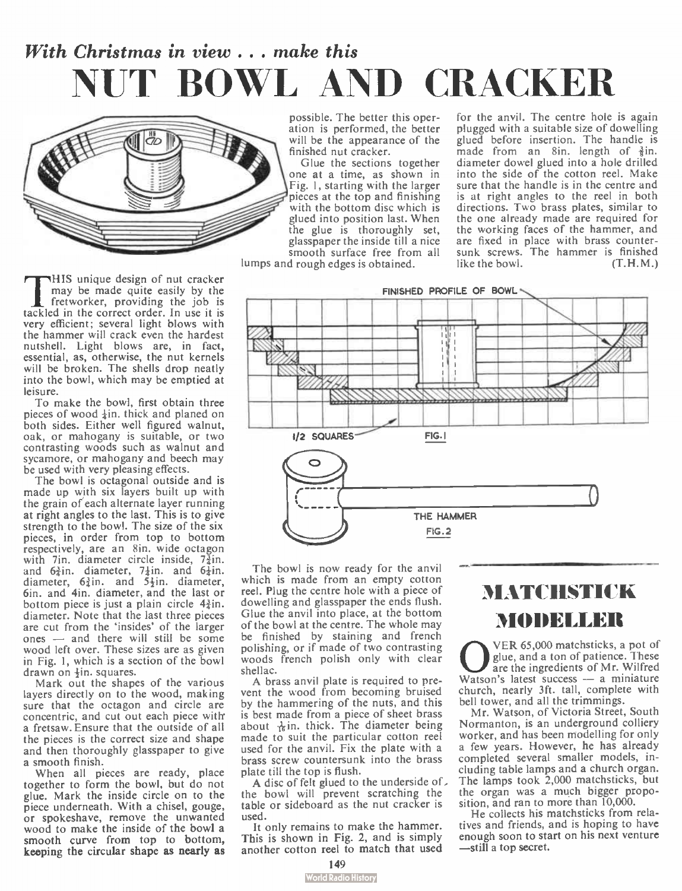## With Christmas in view . . . make this NUT BOWL AND CRACKER



This unique design of nut cracker<br>
may be made quite easily by the<br>
fretworker, providing the job is<br>
tackled in the correct order. In use it is HIS unique design of nut cracker may be made quite easily by the fretworker, providing the job is very efficient; several light blows with the hammer will crack even the hardest nutshell. Light blows are, in fact, essential, as, otherwise, the nut kernels will be broken. The shells drop neatly into the bowl, which may be emptied at leisure.

To make the bowl, first obtain three pieces of wood  $\frac{1}{2}$ in. thick and planed on both sides. Either well figured walnut, oak, or mahogany is suitable, or two contrasting woods such as walnut and sycamore, or mahogany and beech may be used with very pleasing effects.

The bowl is octagonal outside and is made up with six layers built up with the grain of'each alternate layer running at right angles to the last. This is to give strength to the bowl. The size of the six pieces, in order from top to bottom respectively, are an 8in. wide octagon with 7in, diameter circle inside, 7 $\frac{1}{4}$ in.<br>and 6 $\frac{3}{4}$ in. diameter, 7 $\frac{1}{4}$ in. and 6 $\frac{1}{4}$ in.<br>diameter, 6 $\frac{3}{4}$ in. and 5 $\frac{1}{2}$ in. diameter, 6in. and 4in. diameter, and the last or bottom piece is just a plain circle  $4\frac{3}{4}$ in. diameter. Note that the last three pieces are cut from the 'insides' of the larger ones — and there will still be some wood left over. These sizes are as given in Fig. 1, which is a section of the bowl drawn on  $\frac{1}{2}$ in. squares.

Mark out the shapes of the various layers directly on to the wood, making sure that the octagon and circle are concentric, and cut out each piece witlr a fretsaw. Ensure that the outside of all the pieces is the correct size and shape and then thoroughly glasspaper to give a smooth finish.

When all pieces are ready, place together to form the bowl, but do not glue. Mark the inside circle on to the piece underneath. With a chisel, gouge, or spokeshave, remove the unwanted wood to make the inside of the bowl a smooth curve from top to bottom, keeping the circular shape as nearly as

possible. The better this operation is performed, the better will be the appearance of the finished nut cracker.

Glue the sections together one at a time, as shown in Fig. I, starting with the larger pieces at the top and finishing with the bottom disc which is glued into position last. When the glue is thoroughly set, glasspaper the inside till a nice smooth surface free from all

lumps and rough edges is obtained.

for the anvil. The centre hole is again plugged with a suitable size of dowelling glued before insertion. The handle is made from an 8in. length of  $\frac{3}{2}$ in. diameter dowel glued into a hole drilled into the side of the cotton reel. Make sure that the handle is in the centre and is at right angles to the reel in both directions. Two brass plates, similar to the one already made are required for the working faces of the hammer, and are fixed in place with brass countersunk screws. The hammer is finished like the bowl.  $(T, H, M.)$ 



The bowl is now ready for the anvil which is made from an empty cotton reel. Plug the centre hole with a piece of dowelling and glasspaper the ends flush. Glue the anvil into place, at the bottom of the bowl at the centre. The whole may be finished by staining and french polishing, or if made of two contrasting woods french polish only with clear shellac.

A brass anvil plate is required to prevent the wood from becoming bruised by the hammering of the nuts, and this is best made from a piece of sheet brass about  $\frac{1}{16}$ in. thick. The diameter being made to suit the particular cotton reel used for the anvil. Fix the plate with a brass screw countersunk into the brass plate till the top is flush.

A disc of felt glued to the underside of. the bowl will prevent scratching the table or sideboard as the nut cracker is used.

It only remains to make the hammer. This is shown in Fig. 2, and is simply another cotton reel to match that used

## MATCHSTICK MODELLER

WER 65,000 matchsticks, a pot of<br>glue, and a ton of patience. These<br>watson's latest success — a miniature VER 65,000 matchsticks, a pot of glue, and a ton of patience. These are the ingredients of Mr. Wilfred church, nearly 3ft. tall, complete with bell tower, and all the trimmings.

Mr. Watson, of Victoria Street, South Normanton, is an underground colliery worker, and has been modelling for only a few years. However, he has already completed several smaller models, including table lamps and a church organ. The lamps took 2,000 matchsticks, but the organ was a much bigger proposition, and ran to more than 10,000.

He collects his matchsticks from relatives and friends, and is hoping to have enough soon to start on his next venture —still a top secret.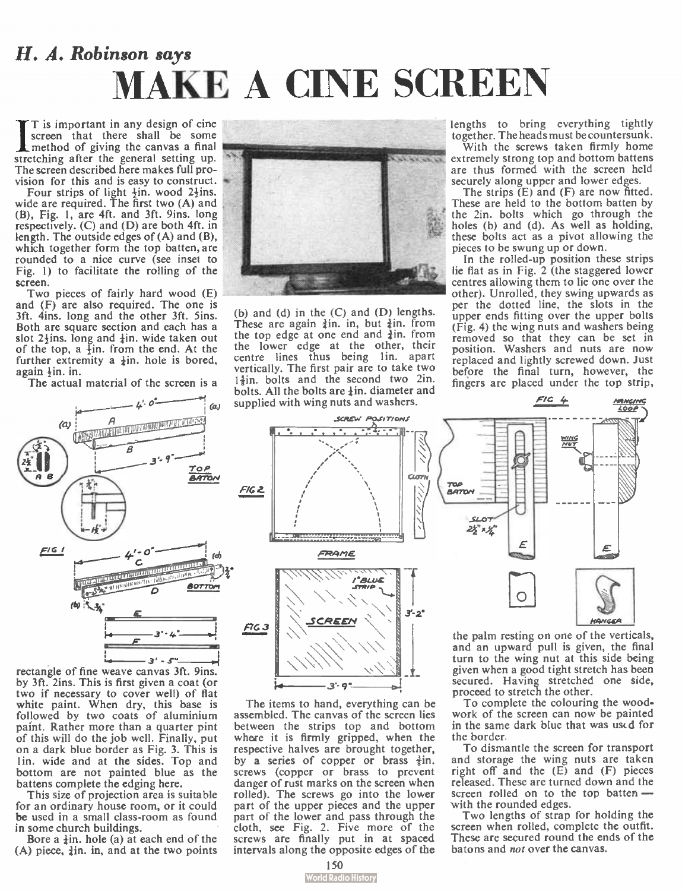## H. A. Robinson says MAKE A CINE SCREEN

 $\prod_{\text{mct}}^{\text{T} \text{ is}}$ T is important in any design of cine screen that there shall be some method of giving the canvas a final stretching after the general setting up. The screen described here makes full provision for this and is easy to construct.

Four strips of light  $\frac{1}{2}$ in. wood 2 $\frac{1}{2}$ ins. wide are required. The first two (A) and (B), Fig. 1, are 4ft. and 3ft. 9ins. long respectively.  $(C)$  and  $(D)$  are both 4ft. in length. The outside edges of (A) and (B), which together form the top batten, are rounded to a nice curve (see inset to Fig. 1) to facilitate the rolling of the screen.

Two pieces of fairly hard wood (E) and (F) are also required. The one is 3ft. 4ins. long and the other 3ft. Sins. Both are square section and each has a slot  $2\frac{1}{2}$ ins. long and  $\frac{1}{4}$ in. wide taken out of the top, a  $\frac{1}{2}$ in. from the end. At the further extremity a  $\frac{1}{4}$ in. hole is bored, again  $\frac{1}{2}$ in. in.

The actual material of the screen is a



rectangle of fine weave canvas 3ft. 9ins. by 3ft. 2ins. This is first given a coat (or two if necessary to cover well) of flat white paint. When dry, this base is followed by two coats of aluminium paint. Rather more than a quarter pint of this will do the job well. Finally, put on a dark blue border as Fig. 3. This is lin, wide and at the sides. Top and bottom are not painted blue as the battens complete the edging here.

This size of projection area is suitable for an ordinary house room, or it could be used in a small class-room as found in some church buildings.

Bore a  $\frac{1}{2}$ in. hole (a) at each end of the  $(A)$  piece,  $\frac{1}{2}$ in. in, and at the two points



(b) and (d) in the  $(C)$  and  $(D)$  lengths. These are again  $\frac{3}{2}$ in. in, but  $\frac{3}{2}$ in. from the top edge at one end and  $\frac{3}{4}$ in. from the lower edge at the other, their centre lines thus being lin, apart vertically. The first pair are to take two  $1\frac{5}{3}$ in. bolts and the second two 2in. bolts. All the bolts are  $\frac{1}{2}$ in. diameter and supplied with wing nuts and washers.

lengths to bring everything tightly together. The heads must be countersunk.

With the screws taken firmly home extremely strong top and bottom battens are thus formed with the screen held securely along upper and lower edges.

The strips  $(E)$  and  $(F)$  are now fitted. These are held to the bottom batten by the 2in. bolts which go through the holes (b) and (d). As well as holding, these bolts act as a pivot allowing the pieces to be swung up or down.

In the rolled-up position these strips lie flat as in Fig. 2 (the staggered lower centres allowing them to lie one over the other). Unrolled, they swing upwards as per the dotted line, the slots in the upper ends fitting over the upper bolts (Fig. 4) the wing nuts and washers being removed so that they can be set in position. Washers and nuts are now replaced and lightly screwed down. Just before the final turn, however, the fingers are placed under the top strip,



The items to hand, everything can be assembled. The canvas of the screen lies between the strips top and bottom where it is firmly gripped, when the respective halves are brought together, by a series of copper or brass  $\frac{3}{5}$ in. screws (copper or brass to prevent danger of rust marks on the screen when rolled). The screws go into the lower part of the upper pieces and the upper part of the lower and pass through the cloth, see Fig. 2. Five more of the screws are finally put in at spaced intervals along the opposite edges of the



<sup>1-2</sup><br>
the palm resting on one<br>
and an upward pull is<br>
turn to the wing nut at<br>
given when a good tight:<br>
secured. Having stretch the palm resting on one of the verticals, and an upward pull is given, the final turn to the wing nut at this side being given when a good tight stretch has been secured. Having stretched one side, proceed to stretch the other.

To complete the colouring the woodwork of the screen can now be painted in the same dark blue that was uscd for the border.

To dismantle the screen for transport and storage the wing nuts are taken right off and the  $(E)$  and  $(F)$  pieces released. These are turned down and the screen rolled on to the top batten with the rounded edges.

Two lengths of strap for holding the screen when rolled, complete the outfit. These are secured round the ends of the batons and not over the canvas.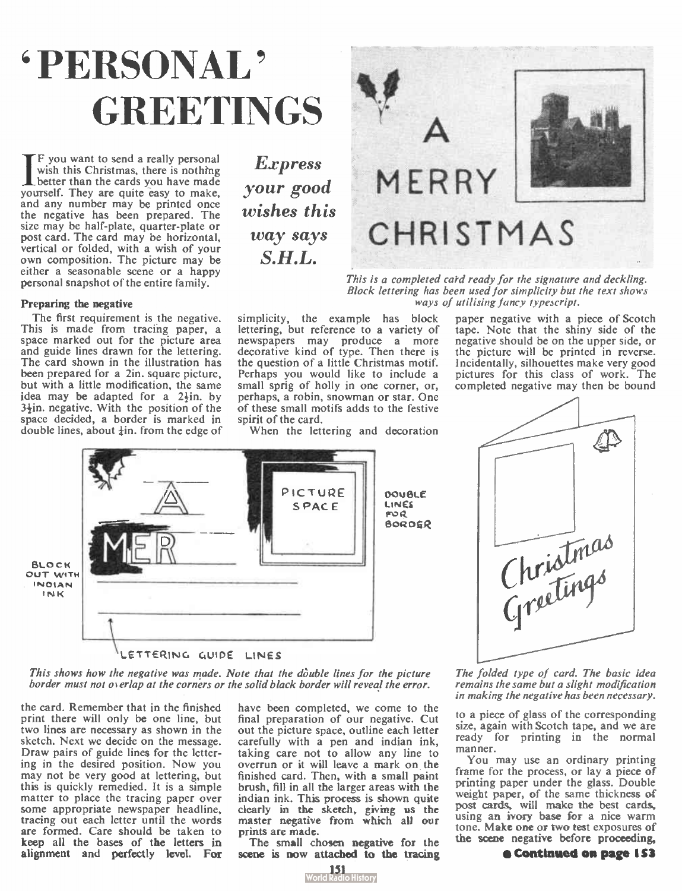# ' PERSONAL ' **GREETINGS**

If you want to send a really personal<br>wish this Christmas, there is nothing<br>better than the cards you have made F you want to send a really personal wish this Christmas, there is nothing yourself. They are quite easy to make, and any number may be printed once the negative has been prepared. The size may be half-plate, quarter-plate or post card. The card may be horizontal, vertical or folded, with a wish of your own composition. The picture may be either a seasonable scene or a happy personal snapshot of the entire family.

#### Preparing the negative

The first requirement is the negative. This is made from tracing paper, a space marked out for the picture area and guide lines drawn for the lettering. The card shown in the illustration has been prepared for a 2in. square picture, but with a little modification, the same idea may be adapted for a  $2\frac{1}{2}$ in. by  $3\frac{1}{2}$ in. negative. With the position of the space decided, a border is marked in double lines, about  $\frac{1}{2}$ in. from the edge of

**Express** your good wishes this way says S.H.L.



This is a completed card ready for the signature and deckling. Block lettering has been used for simplicity but the text shows ways of utilising fancy typescript.

simplicity, the example has block lettering, but reference to a variety of newspapers may produce a more decorative kind of type. Then there is the question of a little Christmas motif. Perhaps you would like to include a small sprig of holly in one corner, or, perhaps, a robin, snowman or star. One of these small motifs adds to the festive spirit of the card. When the lettering and decoration

tape. Note that the shiny side of the negative should be on the upper side, or the picture will be printed in reverse. Incidentally, silhouettes make very good pictures for this class of work. The completed negative may then be bound

paper negative with a piece of Scotch



This shows how the negative was made. Note that the double lines for the picture border must not overlap at the corners or the solid black border will reveal the error.

the card. Remember that in the finished print there will only be one line, but two lines are necessary as shown in the sketch. Next we decide on the message. Draw pairs of guide lines for the lettering in the desired position. Now you may not be very good at lettering, but this is quickly remedied. It is a simple matter to place the tracing paper over some appropriate newspaper headline, tracing out each letter until the words are formed. Care should be taken to keep all the bases of the letters in alignment and perfectly level. For have been completed, we come to the final preparation of our negative. Cut out the picture space, outline each letter carefully with a pen and indian ink, taking care not to allow any line to overrun or it will leave a mark on the finished card. Then, with a small paint brush, fill in all the larger areas with the indian ink. This process is shown quite clearly in the sketch, giving us the master negative from which all our prints are made.

The small chosen negative for the scene is now attached to the tracing



Christmas

The folded type of card. The basic idea remains the same but a slight modification in making the negative has been necessary.

to a piece of glass of the corresponding size, again with Scotch tape, and we are ready for printing in the normal manner.

You may use an ordinary printing frame for the process, or lay a piece of printing paper under the glass. Double weight paper, of the same thickness of post cards, will make the best cards, using an ivory base for a nice warm tone. Make one or two test exposures of the scene negative before proceeding,

#### $e$  Continued on page 153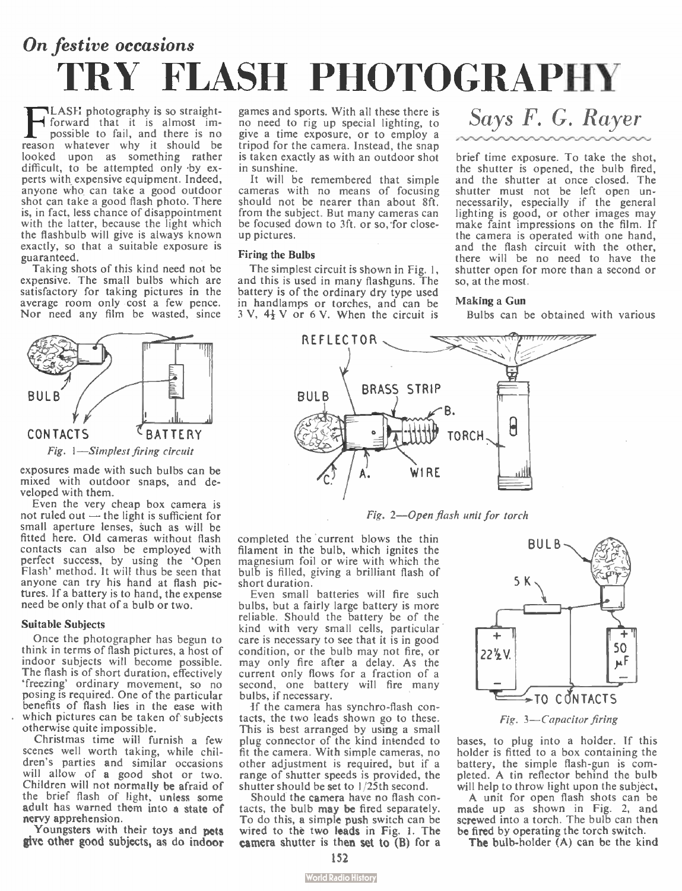## On festive occasions TRY FLASH PHOTOGRAPHY

 $\mathbf{F}_{\text{pc}}^{\text{L}}$ LASH photography is so straightforward that it is almost impossible to fail, and there is no reason whatever why it should be looked upon as something rather difficult, to be attempted only by experts with expensive equipment. Indeed, anyone who can take a good outdoor shot can take a good flash photo. There is, in fact, less chance of disappointment with the latter, because the light which the flashbulb will give is always known exactly, so that a suitable exposure is guaranteed. .

Taking shots of this kind need not be expensive. The small bulbs which are satisfactory for taking pictures in the average room only cost a few pence. Nor need any film be wasted, since



exposures made with such bulbs can be mixed with outdoor snaps, and developed with them.

Even the very cheap box camera is not ruled out — the light is sufficient for small aperture lenses, such as will be fitted here. Old cameras without flash contacts can also be employed with perfect success, by using the 'Open Flash' method. It will thus be seen that anyone can try his hand at flash pictures. If a battery is to hand, the expense need be only that of a bulb or two.

#### Suitable Subjects

Once the photographer has begun to think in terms of flash pictures, a host of indoor subjects will become possible. The flash is of short duration, effectively `freezing' ordinary movement, so no posing is required. One of the particular benefits of flash lies in the ease with which pictures can be taken of subjects otherwise quite impossible.

Christmas time will furnish a few scenes well worth taking, while children's parties and similar occasions will allow of a good shot or two. Children will not normally be afraid of the brief flash of light, unless some adult has warned them into a state of nervy apprehension.

Youngsters with their toys and pets give other good subjects, as do indoor games and sports. With all these there is no need to rig up special lighting, to give a time exposure, or to employ a tripod for the camera. Instead, the snap is taken exactly as with an outdoor shot in sunshine.

It will be remembered that simple cameras with no means of focusing should not be nearer than about 8ft. from the subject. But many cameras can be focused down to 3ft. or so, for closeup pictures.

#### Firing the Bulbs

The simplest circuit is shown in Fig. 1, and this is used in many flashguns. The battery is of the ordinary dry type used In handlamps or torches, and can be  $3 \text{ V}$ ,  $4\frac{1}{2} \text{ V}$  or 6 V. When the circuit is

## Says F. G. Rayer

brief time exposure. To take the shot, the shutter is opened, the bulb fired, and the shutter at once closed. The shutter must not be left open unnecessarily, especially if the general lighting is good, or other images may make faint impressions on the film. If the camera is operated with one hand, and the flash circuit with the other, there will be no need to have the shutter open for more than a second or so, at the most.

#### Making a Gun

Bulbs can be obtained with various



Fig. 2—Open flash unit for torch

completed the current blows the thin filament in the bulb, which ignites the magnesium foil or wire with which the bulb is filled, giving a brilliant flash of short duration.

Even small batteries will fire such bulbs, but a fairly large battery is more reliable. Should the battery be of the kind with very small cells, particular care is necessary to see that it is in good condition, or the bulb may not fire, or may only fire after a delay. As the current only flows for a fraction of a second, one battery will fire many bulbs, if necessary.

If the camera has synchro-flash contacts, the two leads shown go to these. This is best arranged by using a small plug connector of the kind intended to fit the camera. With simple cameras, no other adjustment is required, but if a range of shutter speeds is provided, the shutter should be set to 1/25th second.

Should the camera have no flash contacts, the bulb may be fired separately. To do this, a simple push switch can be wired to thé two leads in Fig. I. The camera shutter is then set to  $(B)$  for a



Fig. 3—Capacitor firing

bases, to plug into a holder. If this holder is fitted to a box containing the battery, the simple flash-gun is completed. A tin reflector behind the bulb will help to throw light upon the subject.

A unit for open flash shots can be made up as shown in Fig. 2, and<br>screwed into a torch. The bulb can then be fired by operating the torch switch.

The bulb-holder (A) can be the kind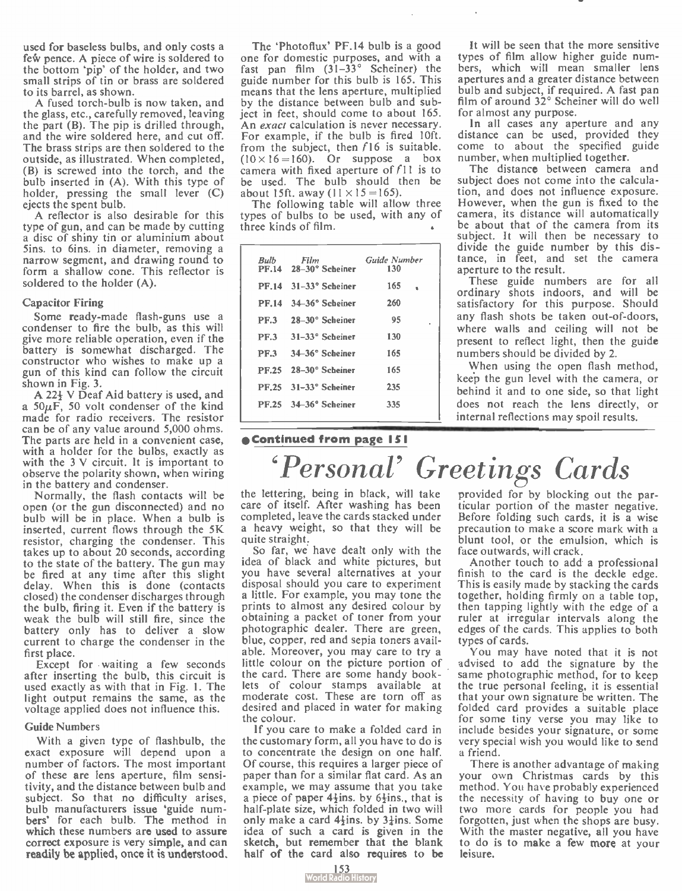used for baseless bulbs, and only costs a few pence. A piece of wire is soldered to the bottom 'pip' of the holder, and two small strips of tin or brass are soldered to its barrel, as shown.

A fused torch-bulb is now taken, and the glass, etc., carefully removed, leaving the part (B). The pip is drilled through, and the wire soldered here, and cut off. The brass strips are then soldered to the outside, as illustrated. When completed, (B) is screwed into the torch, and the bulb inserted in (A). With this type of holder, pressing the small lever (C) ejects the spent bulb.

A reflector is also desirable for this type of gun, and can be made by cutting a disc of shiny tin or aluminium about Sins. to 6ins. in diameter, removing a narrow segment, and drawing round to form a shallow cone. This reflector is soldered to the holder (A).

#### Capacitor Firing

Some ready-made flash-guns use a condenser to fire the bulb, as this will give more reliable operation, even if the battery is somewhat discharged. The constructor who wishes to make up a gun of this kind can follow the circuit shown in Fig. 3.

A 22+ V Deaf Aid battery is used, and a  $50\mu\overline{F}$ , 50 volt condenser of the kind made for radio receivers. The resistor can be of any value around 5,000 ohms. The parts are held in a convenient case, with a holder for the bulbs, exactly as with the 3 V circuit. It is important to observe the polarity shown, when wiring in the battery and condenser.

Normally, the flash contacts will be open (or the gun disconnected) and no bulb will be in place. When a bulb is inserted, current flows through the 5K resistor, charging the condenser. This takes up to about 20 seconds, according to the state of the battery. The gun may be fired at any time after this slight delay. When this is done (contacts closed) the condenser discharges through the bulb, firing it. Even if the battery is weak the bulb will still fire, since the battery only has to deliver a slow current to charge the condenser in the first place.

Except for waiting a few seconds after inserting the bulb, this circuit is used exactly as with that in Fig. I. The light output remains the same, as the voltage applied does not influence this.

#### Guide Numbers

With a given type of flashbulb, the exact exposure will depend upon a number of factors. The most important of these are lens aperture, film sensitivity, and the distance between bulb and subject. So that no difficulty arises, bulb manufacturers issue 'guide numbers' for each bulb. The method in which these numbers are used to assure correct exposure is very simple, and can readily be applied, once it is understood.

The 'Photoflux' PF.14 bulb is a good one for domestic purposes, and with a fast pan film  $(3\overline{)}-3\overline{)}$ <sup>o</sup> Scheiner) the guide number for this bulb is 165. This means that the lens aperture, multiplied by the distance between bulb and subject in feet, should come to about 165. An *exact* calculation is never necessary. For example, if the bulb is fired 10ft. from the subject, then  $f16$  is suitable.  $(10 \times 16 = 160)$ . Or suppose a box camera with fixed aperture of  $f11$  is to be used. The bulb should then be about 15ft. away  $(11 \times 15 = 165)$ .

The following table will allow three ypes of bulbs to be used, with any of three kinds of film.

|  | Bulb Film<br>PF.14 28-30° Scheiner | Guide Number<br>130 |
|--|------------------------------------|---------------------|
|  | $PF.14 - 31-33$ ° Scheiner         | 165                 |
|  | PF.14 34-36° Scheiner              | 260                 |
|  | PF.3 28-30° Scheiner               | 95<br>٠             |
|  | PF.3 31-33° Scheiner               | 130                 |
|  | PF.3 34-36° Scheiner               | 165                 |
|  | PF.25 28-30° Scheiner              | 165                 |
|  | PF.25 31-33° Scheiner              | 235                 |
|  | $PF.25 - 34 - 36°$ Scheiner        | 335                 |
|  |                                    |                     |

It will be seen that the more sensitive types of film allow higher guide numbers, which will mean smaller lens apertures and a greater distance between bulb and subject, if required. A fast pan film of around 32° Scheiner will do well for almost any purpose.

In all cases any aperture and any distance can be used, provided they come to about the specified guide number, when multiplied together.

The distance between camera and subject does not come into the calculation, and does not influence exposure. However, when the gun is fixed to the camera, its distance will automatically be about that of the camera from its subject. It will then be necessary to divide the guide number by this distance, in feet, and set the camera aperture to the result.

These guide numbers are for all ordinary shots indoors, and will be satisfactory for this purpose. Should any flash shots be taken out-of-doors, where walls and ceiling will not be present to reflect light, then the guide numbers should be divided by 2.

When using the open flash method, keep the gun level with the camera, or behind it and to one side, so that light does not reach the lens directly, or internal reflections may spoil results.

#### eContinued from page 151

# 'Personal' Greetings Cards

the lettering, being in black, will take care of itself. After washing has been completed, leave the cards stacked under a heavy weight, so that they will be quite straight.

So far, we have dealt only with the idea of black and white pictures, but you have several alternatives at your disposal should you care to experiment a little. For example, you may tone the prints to almost any desired colour by obtaining a packet of toner from your photographic dealer. There are green, blue, copper, red and sepia toners available. Moreover, you may care to try a little colour on the picture portion of the card. There are some handy booklets of colour stamps available at moderate cost. These are torn off as desired and placed in water for making the colour.

If you care to make a folded card in the customary form, all you have to do is to concentrate the design on one half. Of course, this requires a larger piece of paper than for a similar flat card. As an example, we may assume that you take a piece of paper  $4\frac{1}{2}$ ins. by  $6\frac{1}{2}$ ins., that is half-plate size, which folded in two will only make a card  $4\frac{1}{2}$ ins. by  $3\frac{1}{4}$ ins. Some idea of such a card is given in the sketch, but remember that the blank half of the card also requires to be

provided for by blocking out the particular portion of the master negative. Before folding such cards, it is a wise precaution to make a score mark with a blunt tool, or the emulsion, which is face outwards, will crack.

Another touch to add a professional finish to the card is the deckle edge. This is easily made by stacking the cards together, holding firmly on a table top, then tapping lightly with the edge of a ruler at irregular intervals along the edges of the cards. This applies to both types of cards.

You may have noted that it is not advised to add the signature by the same photographic method, for to keep the true personal feeling, it is essential that your own signature be written. The folded card provides a suitable place for some tiny verse you may like to include besides your signature, or some very special wish you would like to send a friend.

There is another advantage of making your own Christmas cards by this method. You have probably experienced the necessity of having to buy one or two more cards for people you had forgotten, just when the shops are busy. With the master negative, all you have to do is to make a few more at your leisure.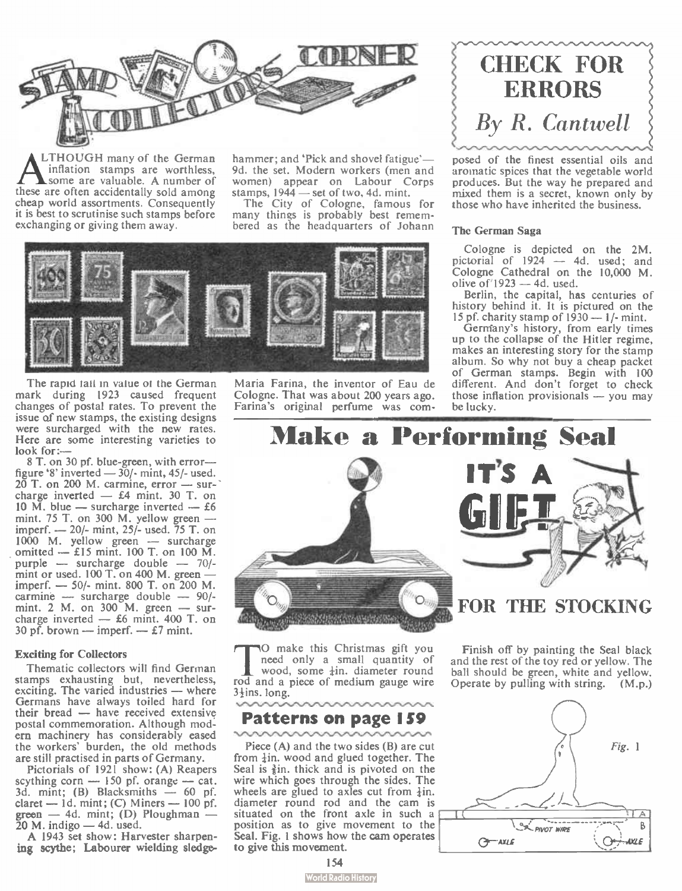

**ALTHOUGH many of the German**<br>
inflation stamps are worthless,<br>
these are often accidentally sold among LTHOUGH many of the German inflation stamps are worthless, some are valuable. A number of cheap world assortments. Consequently it is best to scrutinise such stamps before exchanging or giving them away.

hammer; and 'Pick and shovel fatigue'-9d. the set. Modern workers (men and women) appear on Labour Corps stamps,  $1944$  — set of two, 4d. mint.

The City of Cologne, famous for many things is probably best remembered as the headquarters of Johann



The rapid tail in value of the German mark during 1923 caused frequent changes of postal rates. To prevent the issue of new stamps, the existing designs were surcharged with the new rates. Here are some interesting varieties to look for:-

8 T. on 30 pf. blue-green, with error figure '8' inverted  $-30/$ - mint, 45/- used. 20 T. on 200 M. carmine, error — sur-' charge inverted  $-$  £4 mint. 30 T. on 10  $\overline{M}$ . blue — surcharge inverted — £6 mint.  $75$  T. on 300 M. yellow green imperf. — 20/- mint, 25/- used. 75 T. on 1000 M. yellow green — surcharge omitted — £ 15 mint. 100 T. on 100 M. purple — surcharge double — 70/mint or used. 100 T. on 400 M. green imperf. — 50/- mint. 800 T. on 200 M. carmine — surcharge double — 90/. mint. 2 M. on 300 M. green — surcharge inverted — £6 mint. 400 T. on 30 pf. brown — imperf. —  $\pounds$ 7 mint.

#### Exciting for Collectors

Thematic collectors will find German stamps exhausting but, nevertheless, exciting. The varied industries — where Germans have always toiled hard for their bread — have received extensive postal commemoration. Although modern machinery has considerably eased the workers' burden, the old methods are still practised in parts of Germany.

Pictorials of 1921 show: (A) Reapers scything corn  $-$  150 pf. orange  $-$  cat.  $3a$ . mint; (B) Blacksmiths  $-$  60 pf.<br>claret  $-1d$ , mint; (C) Miners  $-100$  pf. green — 4d. mint; (D) Ploughman —<br>20 M. indigo — 4d. used.

A 1943 set show: Harvester sharpening scythe; Labourer wielding sledgeMaria Farina, the inventor of Eau de Cologne. That was about 200 years ago. Farina's original perfume was com-



posed of the finest essential oils and aromatic spices that the vegetable world produces. But the way he prepared and mixed them is a secret, known only by those who have inherited the business.

#### The German Saga

Cologne is depicted on the 2M. pictorial of 1924 — 4d. used; and Cologne Cathedral on the 10,000 M. olive of  $1923 - 4d$ , used.

Berlin, the capital, has centuries of history behind it. It is pictured on the 15 pf. charity stamp of 1930 — 1/- mint.

Gerniany's history, from early times up to the collapse of the Hitler regime, makes an interesting story for the stamp album. So why not buy a cheap packet of German stamps. Begin with 100 different. And don't forget to check those inflation provisionals — you may be lucky.



The make this Christmas gift you<br>wood, some  $\frac{1}{4}$  in. diameter round<br>rod and a piece of medium gauge wire O make this Christmas gift you need only a small quantity of wood, some  $\frac{1}{2}$ in. diameter round 3<sup>+</sup>ins. long.

### Patterns on page 159

Piece (A) and the two sides (B) are cut from  $\frac{1}{2}$ in, wood and glued together. The Seal is  $\frac{3}{2}$ in. thick and is pivoted on the wire which goes through the sides. The wheels are glued to axles cut from  $\frac{1}{2}$ in. diameter round rod and the cam is situated on the front axle in such a position as to give movement to the Seal. Fig. 1 shows how the cam operates to give this movement.

Finish off by painting the Seal black and the rest of the toy red or yellow. The ball should be green, white and yellow. Operate by pulling with string. ( M.p.)



#### **World Radio History**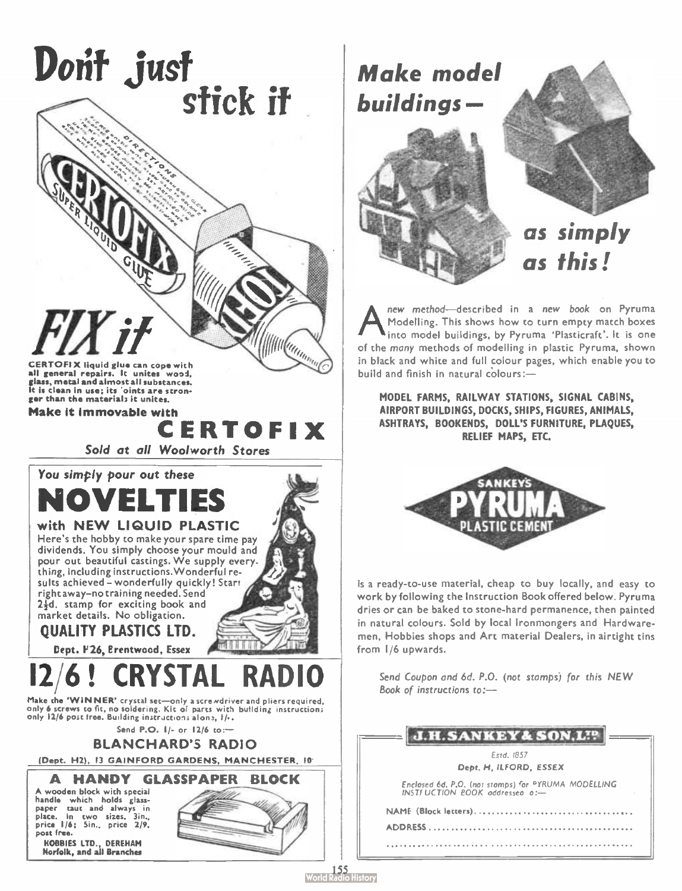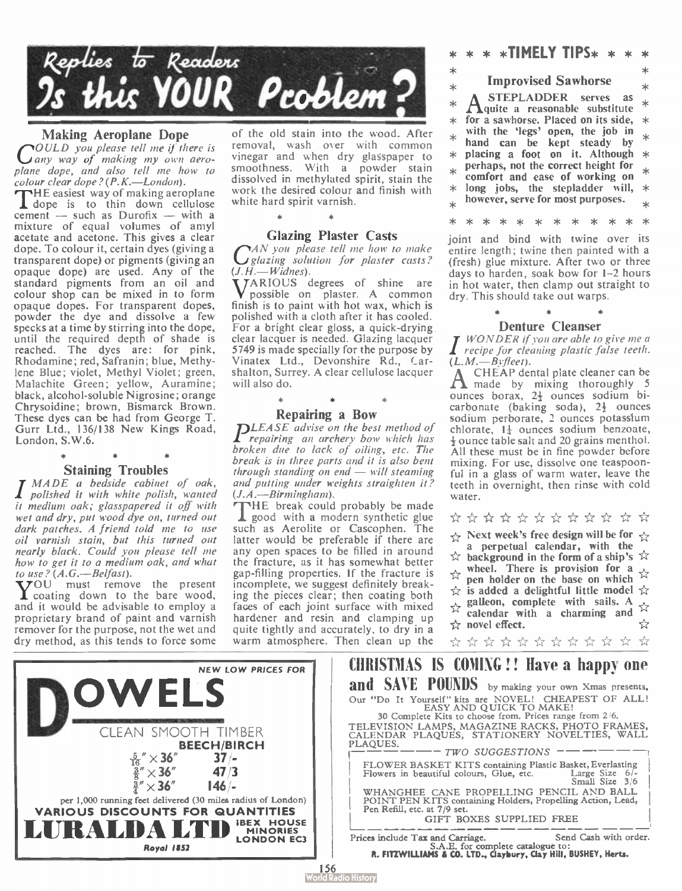

#### Making Aeroplane Dope

**POULD** you please tell me if there is any way of making my own aeroplane dope, and also tell me how to colour clear dope ?(P.K.—London).

HE easiest way of making aeroplane **d** dope is to thin down cellulose cement — such as Durofix — with a mixture of equal volumes of amyl acetate and acetone. This gives a clear dope. To colour it, certain dyes (giving a transparent dope) or pigments ( giving an opaque dope) are used. Any of the standard pigments from an oil and colour shop can be mixed in to form opaque dopes. For transparent dopes, powder the dye and dissolve a few specks at a time by stirring into the dope, until the required depth of shade is reached. The dyes are: for pink, Rhodamine; red, Safranin; blue, Methylene Blue; violet, Methyl Violet; green, Malachite Green; yellow, Auramine; black, alcohol-soluble Nigrosine; orange Chrysoidine; brown, Bismarck Brown. These dyes can be had from George T. Gurr Ltd., 136/138 New Kings Road, London, S.W.6.

Staining Troubles<br>I MADE a bedside cabinet of oak,<br>I polished it with white polish, wanted it medium oak; glasspapered it off with wet and dry, put wood dye on, turned out dark patches. A friend told me to use oil varnish stain, but this turned out nearly black. Could you please tell me how to get it to a medium oak, and what to use ?  $(A.G.-Belfast)$ .<br>**T**OU must remove the present

Y coating down to the bare wood, and it would be advisable to employ a proprietary brand of paint and varnish remover for the purpose, not the wet and dry method, as this tends to force some

of the old stain into the wood. After removal, wash over with common vinegar and when dry glasspaper to smoothness. With a powder stain dissolved in methylated spirit, stain the work the desired colour and finish with white hard spirit varnish.

#### Glazing Plaster Casts

**PAN** you please tell me how to make I glazing solution for plaster casts?  $(J.H. -W$ idnes).

TARIOUS degrees of shine are possible on plaster. A common finish is to paint with hot wax, which is polished with a cloth after it has cooled. For a bright clear gloss, a quick-drying clear lacquer is needed. Glazing lacquer 5749 is made specially for the purpose by Vinatex Ltd., Devonshire Rd., Carshalton, Surrey. A clear cellulose lacquer will also do.

### Repairing a Bow

DLEASE advise on the best method of repairing an archery bow which has broken due to lack of oiling, etc. The break is in three parts and it is also bent through standing on end  $-$  will steaming and putting under weights straighten it?  $(J.A. \rightarrow Birmingham)$ .<br>THE break could probably be made

**L** good with a modern synthetic glue<br>such as Aerolite or Cascophen. The latter would be preferable if there are any open spaces to be filled in around the fracture, as it has somewhat better gap-filling properties. If the fracture is incomplete, we suggest definitely breaking the pieces clear; then coating both faces of each joint surface with mixed hardener and resin and clamping up quite tightly and accurately, to dry in a warm atmosphere. Then clean up the

 $* * *$ TIMELY TIPS $* * *$ 

#### Improvised Sawhorse

STEPLADDER serves as  $A$ quite a reasonable substitute  $\star$ for a sawhorse. Placed on its side, with the 'legs' open, the job in hand can be kept steady by sk placing a foot on it. Although \* perhaps, not the correct height for sk.  $\ast$ comfort and ease of working on long jobs, the stepladder will,  $*$ however, serve for most purposes.

\* \* \* \* \* \* \* \* \* \* \* \*

joint and bind with twine over its entire length; twine then painted with a (fresh) glue mixture. After two or three days to harden, soak bow for 1-2 hours in hot water, then clamp out straight to dry. This should take out warps.

**Denture Cleanser**<br>*WONDER if you are able to give me a* recipe for cleaning plastic false teeth.  $(L.M. \rightarrow Byfleet).$ <br>A CHEAP dental plate cleaner can be

 $A$  experimental place element  $\frac{1}{5}$ ounces borax, 24 ounces sodium bicarbonate (baking soda), 24 ounces sodium perborate, 2 ounces potassium chlorate, 1+ ounces sodium benzoate, 4 ounce table salt and 20 grains menthol. All these must be in fine powder before mixing. For use, dissolve one teaspoonful in a glass of warm water, leave the teeth in overnight, then rinse with cold water.

 $\forall x \leftrightarrow x \leftrightarrow x \leftrightarrow x \leftrightarrow x \leftrightarrow x$ 

 $\overrightarrow{\chi}$  Next week's free design will be for  $\overrightarrow{\chi}$ a perpetual calendar, with the  $\hat{x}$  background in the form of a ship's  $\hat{x}$ wheel. There is provision for a ☆ pen holder on the base on which  $\hat{\chi}$  is added a delightful little model  $\hat{\chi}$ galleon, complete with sails. A  $\lambda$ calendar with a charming and  $\frac{1}{\sqrt{2}}$ <br>novel effect. novel effect.  $\forall x \leftrightarrow x \leftrightarrow x \leftrightarrow x \leftrightarrow x \leftrightarrow x$ 





156<br>rld Radio History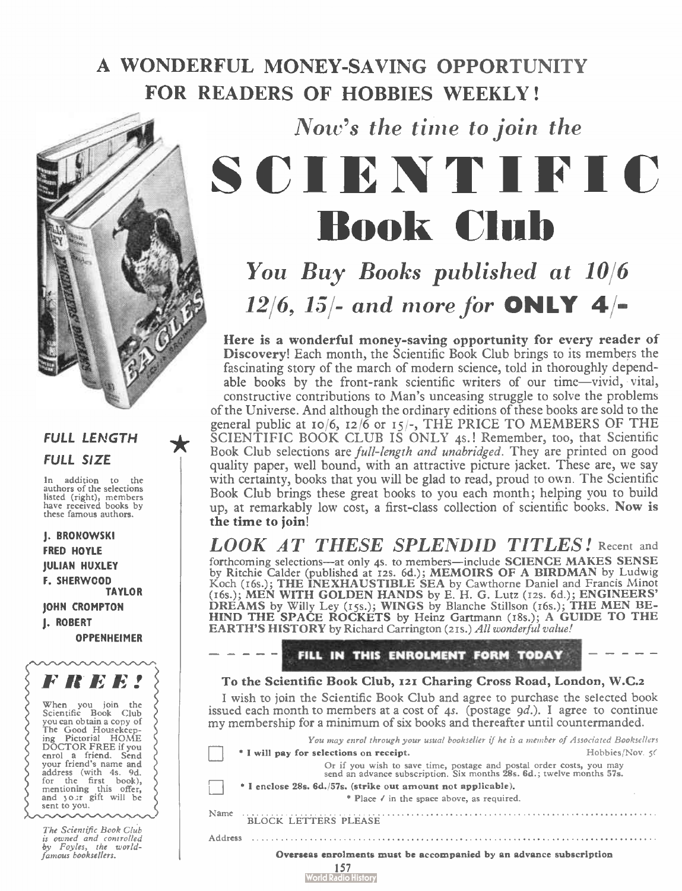## A WONDERFUL MONEY-SAVING OPPORTUNITY FOR READERS OF HOBBIES WEEKLY!



### FULL LENGTH FULL SIZE

In addition to the authors of the selections listed ( right), members have received books by these famous authors.

J. BRONOWSKI FRED HOYLE JULIAN HUXLEY F. SHERWOOD TAYLOR **JOHN CROMPTON** J. ROBERT OPPENHEIMER



# Now's the time to join the SCIENTIFIC Book Club

You Buy Books published at 10/6 12/6, 15/- and more for **ONLY 4/-**

Here is a wonderful money-saving opportunity for every reader of Discovery! Each month, the Scientific Book Club brings to its members the fascinating story of the march of modern science, told in thoroughly dependable books by the front-rank scientific writers of our time—vivid, vital, constructive contributions to Man's unceasing struggle to solve the problems of the Universe. And although the ordinary editions of these books are sold to the general public at 10/6, 12/6 or 15/-, THE PRICE TO MEMBERS OF THE SCIENTIFIC BOOK CLUB IS ONLY 4s.! Remember, too, that Scientific Book Club selections are full-length and unabridged. They are printed on good quality paper, well bound, with an attractive picture jacket. These are, we say with certainty, books that you will be glad to read, proud to own. The Scientific Book Club brings these great books to you each month; helping you to build up, at remarkably low cost, a first-class collection of scientific books. Now is the time to join!

LOOK AT THESE SPLENDID TITLES! Recent and forthcoming selections—at only 4s. to members—include SCIENCE MAKES SENSE by Ritchie Calder (published at 12s. 6d.); MEMOIRS OF A BIRDMAN by Ludwig<br>Koch (16s.); THE INEXHAUSTIBLE SEA by Cawthorne Daniel and Francis Minot<br>(16s.); MEN WITH GOLDEN HANDS by E. H. G. Lutz (12s. 6d.); ENGINEERS'<br>DREAM HIND THE SPACE ROCKETS by Heinz Gartmann ( t8s.); A GUIDE TO THE EARTH'S HISTORY by Richard Carrington (215.) All wonderful value!

FILL IN THIS ENROLMENT FORM TODAY

To the Scientific Book Club, izi Charing Cross Road, London, W.C.z

I wish to join the Scientific Book Club and agree to purchase the selected book issued each month to members at a cost of 4s. (postage  $gd.$ ). I agree to continue my membership for a minimum of six books and thereafter until countermanded.

|                                                                    | You may enrol through your usual bookseller if he is a member of Associated Booksellers                                                       |                 |  |  |  |
|--------------------------------------------------------------------|-----------------------------------------------------------------------------------------------------------------------------------------------|-----------------|--|--|--|
|                                                                    | * I will pay for selections on receipt.                                                                                                       | Hobbies/Nov. 50 |  |  |  |
|                                                                    | Or if you wish to save time, postage and postal order costs, you may<br>send an advance subscription. Six months 28s. 6d.; twelve months 57s. |                 |  |  |  |
|                                                                    | * I enclose 28s. 6d./57s. (strike out amount not applicable).                                                                                 |                 |  |  |  |
|                                                                    | * Place / in the space above, as required,                                                                                                    |                 |  |  |  |
| Name                                                               | <b>BLOCK LETTERS PLEASE</b>                                                                                                                   |                 |  |  |  |
| Address                                                            |                                                                                                                                               |                 |  |  |  |
| Overseas enrolments must be accompanied by an advance subscription |                                                                                                                                               |                 |  |  |  |
|                                                                    | World Radio Histor                                                                                                                            |                 |  |  |  |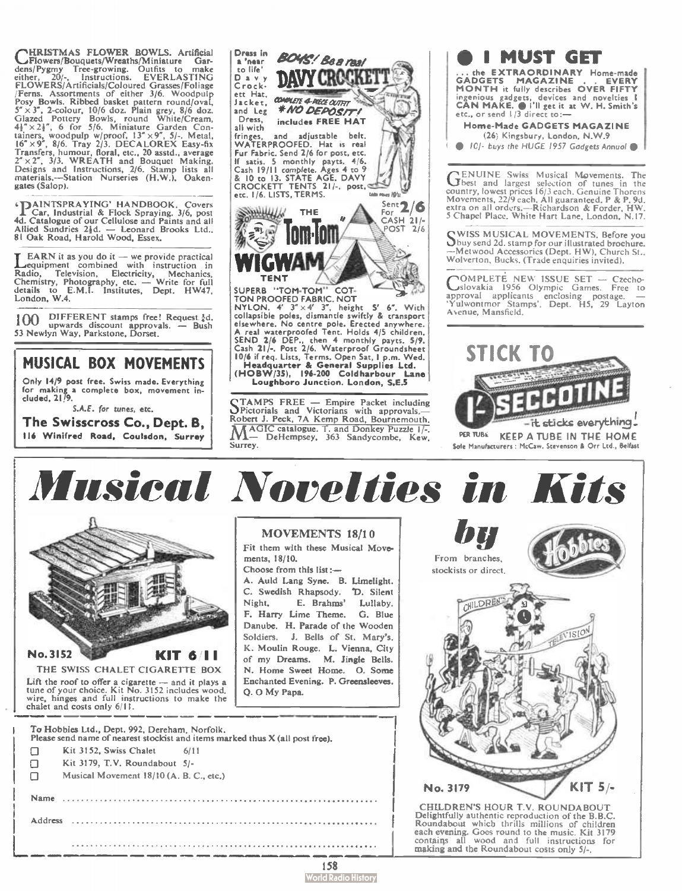CHRISTMAS FLOWER BOWLS. Artificial<br>dens/Pygmy Tree-growing. Outlist Cartificial<br>either, 20/-, Instructions. EVERLASTING<br>either, 20/-, Instructions. EVERLASTING<br>FLOWERS/Artificials/Coloured Grasses/Foliage<br>FLOWERS/Artificia gates (Salop).

**1DAINTSPRAYING' HANDBOOK. Covers<br>4d. Catalogue of our Cellulose and Paints and all<br>Allied Sundries 24d. -- Leonard Brooks Ind.**<br>81 Oak Road, Harold Wood, Essex.<br>81 Oak Road, Harold Wood, Essex.

**LEARN** it as you do it — we provide practical<br>**Lequipment** combined with instruction in Radio, Television, Electricity, Mechanics, Chemistry, Photography, etc. — Write for full details to E.M.I. Institutes, Dept. HW47. London, W.4.

 $100$  DIFFERENT stamps free! Request  $\frac{1}{2}d$ . upwards discount approvals. — Bush 53 Newlyn Way, Parkstone, Dorset.

MUSICAL BOX MOVEMENTS Only 14/9 post free. Swiss made. Everything for making a complete box, movement in-eluded, 2119.

S.A.E. for tunes, etc.

The Swisscross Co., Dept. B, 116 Winifred Road, Coulsdon, Surrey



STAMPS FREE — Empire Packet including Pictorials and Victorians with approvals.— Robert J. Peck, 7A Kemp Road, Bournemouth. MAGIC catalogue. T. and Donkey Puzzle 17-DeHempsey, 363 Sandycombe, Kew, Surrey.

o I MUST GET ... the **EXTRAORDINARY** Home-made<br>GADGETS MAGAZINE . . EVERY **MAGAZINE** MONTH it fully describes OVER FIFTY ingenious gadgets, devices and novelties **I** |<br>CAN MAKE. @ I'll get it at W. H. Smith's | etc., or send  $1/3$  direct to:— Home-Made GADGETS MAGAZINE

(26, Kingsbury, London, N.W.9 <sup>10</sup> ICI- buys the HUGE 1957 Gadgets Annual

**GENUINE Swiss Musical Movements.** The country, lowest prices is election of tunes in the country, lowest prices 16/3 each. Genuine Thorens Movements, 22/9 each. All guaranteed. P & P. 9d.<br>extra on all orders... —Richards 5 Chapel Place. White Hart Lane, London. N.I7.

S WISS MUSICAL MOVEMENTS. Before you --Metwood Accessories (Dept. HW), Church St..<br>Wolverton, Bucks. (Trade enquiries invited).

OMPLETE NEW ISSUE SET - Czecho-'.....àslovakia 1956 Olympic Games. Free to approval applicants enclosing postage. — \*Yulwontmor Stamps', Dept. H5, 29 Layton Ayenue, Mansfield.



Musical Novelties in Kits



THE SWISS CHALET CIGARETTE BOX Lift the roof to offer a cigarette — and it plays a tune of your choice. Kit No. 3152 includes wood. wire, hinges and full instructions to make the chalet and costs only 6/11.

To Hobbies Ltd., Dept. 992, Dereham, Norfolk. Please send name of nearest stockist and items marked thus X (all post free).  $\Box$  Kit 3152, Swiss Chalet 6/11 Kit 3179, T.V. Roundabout 5/-  $\Box$ Musical Movement 18/10 (A. B. C., etc.) Name Address 

#### MOVEMENTS 18/1 0

Fit them with these Musical Movements, 18/10. Choose from this list

A. Auld Lang Sync. B. Limelight. C. Swedish Rhapsody. 'D. Silent Night. E. Brahms' Lullaby. F. Harry Lime Theme. G. Blue Danube. H. Parade of the Wooden Soldiers. J. Bells of St. Mary's. K. Moulin Rouge. L. Vienna, City of my Dreams. M. Jingle Bells. N. Home Sweet Home. O. Some Enchanted Evening. P. Greensleeves. Q. 0 My Papa.



CHILDREN'S HOUR T.V. ROUNDABOUT Delightfully authentic reproduction of the B.B.C. Roundabout which thrills millions of children each evening. Goes round to the music. Kit 3179 contains all wood and full instructions for making and the Roundabout costs only 5/-.

158 **World Radio History**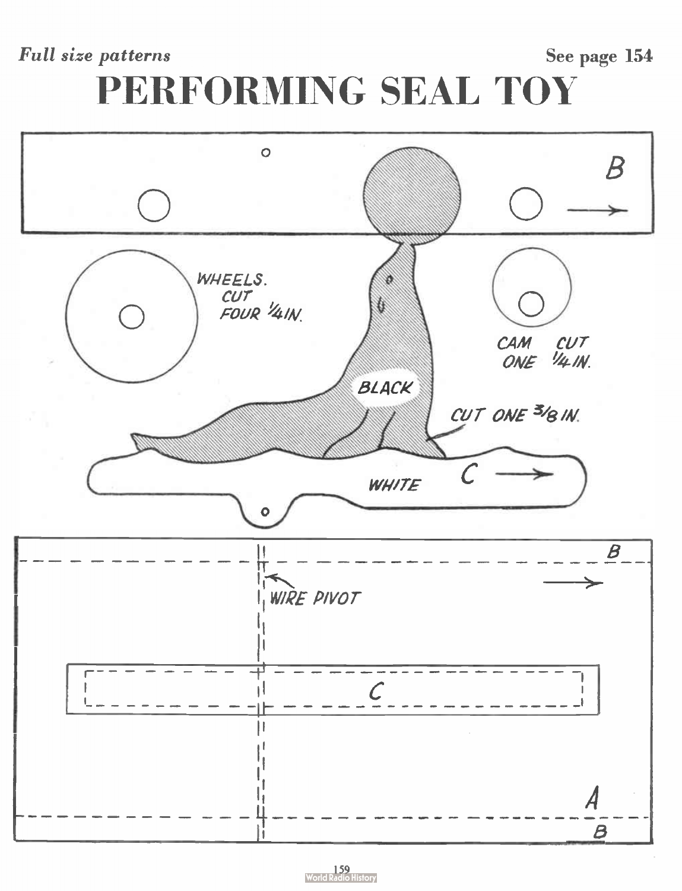### Full size patterns See page 154

# PERFORMING SEAL TOY